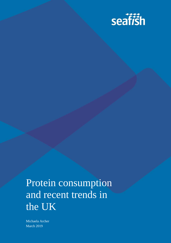

# Protein consumption and recent trends in the UK

Michaela Archer March 2019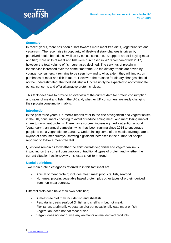#### **Summary**

In recent years, there has been a shift towards more meat free diets, vegetarianism and veganism. The recent rise in popularity of lifestyle dietary changes is driven by perceived health benefits as well as by ethical concerns. Shoppers are still buying meat and fish; more units of meat and fish were purchased in 2018 compared with 2017, however the total volume of fish purchased declined. The servings of protein in foodservice increased over the same timeframe. As the dietary trends are driven by younger consumers, it remains to be seen how and to what extent they will impact on purchases of meat and fish in future. However, the reasons for dietary changes should not be underestimated; the food industry will increasingly be expected to accommodate ethical concerns and offer alternative protein choices.

This factsheet aims to provide an overview of the current data for protein consumption and sales of meat and fish in the UK and, whether UK consumers are really changing their protein consumption habits.

#### **Introduction**

In the past three years, UK media reports refer to the rise of veganism and vegetarianism in the UK, consumers choosing to avoid or reduce eating meat, and meat losing market share to non-meat proteins. There has also been increasing media attention around 'veganuary'<sup>1</sup>, an annual campaign which has been running since 2014 to encourage people to eat a vegan diet for January. Underpinning some of the media coverage are a myriad of consumer surveys, showing significant increases in the number of people reporting to follow a meat-free diet.

Questions remain as to whether the shift towards veganism and vegetarianism is impacting on the current consumption of traditional types of protein and whether the current situation has longevity or is just a short-term trend.

#### **Useful definitions**

Two main protein categories referred to in this factsheet are;

- Animal or meat protein; includes meat, meat products, fish, seafood.
- Non-meat protein; vegetable based protein plus other types of protein derived from non-meat sources.

Different diets each have their own definition;

- A meat-free diet may include fish and shellfish.
- Pescatarian; eats seafood (finfish and shellfish), but not meat.
- Flexitarian; a primarily vegetarian diet but occasionally eats meat or fish.
- Vegetarian; does not eat meat or fish.
- Vegan; does not eat or use any animal or animal derived products.

 $\overline{\phantom{a}}$ 

<sup>1</sup> <https://veganuary.com/>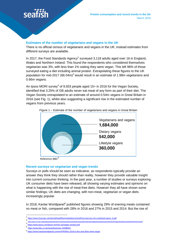

### **Estimates of the number of vegetarians and vegans in the UK**

There is no official census of vegetarians and vegans in the UK; instead estimates from different surveys are available.

In 2017, the Food Standards Agency<sup>2</sup> surveyed 3,118 adults aged over 16 in England, Wales and Northern Ireland. This found the respondents who considered themselves vegetarian was 3%, with less than 1% stating they were vegan. This left 96% of those surveyed eating a diet including animal protein. Extrapolating these figures to the UK population for mid-2017 (66.04m)<sup>3</sup> would result in an estimate of 1.98m vegetarians and 0.66m vegans.

An Ipsos MORI survey<sup>4</sup> of 9,933 people aged 15+ in 2016 for the Vegan Society, identified that 3.25% of GB adults never eat meat of any form as part of their diet. The Vegan Society extrapolated to an estimate of around 0.54m vegans in Great Britain in 2016 (see Fig. 1), whilst also suggesting a significant rise in the estimated number of vegans from previous years.



Figure 1 – Estimate of the number of vegetarians and vegans in Great Britain

 *Reference BBC*<sup>5</sup>

#### **Recent surveys on vegetarian and vegan trends**

Surveys or polls should be seen as indicative, as respondents typically provide an answer they think they should rather than reality, however they provide valuable insight into current consumer thinking. In the past year, a number of studies or surveys exploring UK consumer diets have been released, all showing varying estimates and opinions on what is happening with the rise of meat-free diets. However they all have shown some similar findings; UK diets are changing, with non-meat, vegetarian or vegan diets increasingly popular.

In 2018, Kantar Worldpanel<sup>6</sup> published figures showing 29% of evening meals contained no meat or fish, compared with 28% in 2016 and 27% in 2015 and 2014. But the rise of

 $\overline{\phantom{a}}$ 2 [https://www.food.gov.uk/sites/default/files/media/document/food-and-you-w4-combined-report\\_0.pdf](https://www.food.gov.uk/sites/default/files/media/document/food-and-you-w4-combined-report_0.pdf)

<sup>3</sup> <https://www.ons.gov.uk/peoplepopulationandcommunity/populationandmigration/populationestimates/datasets/populationestimatesforukenglandandwalesscotlandandnorthernireland>

<sup>4</sup> <https://www.ipsos.com/ipsos-mori/en-uk/vegan-society-poll>

<sup>5</sup> <https://www.bbc.co.uk/news/business-44488051>

<sup>6</sup> <https://www.kantarworldpanel.com/en/PR/Why-2018-is-the-year-Brits-went-vegan>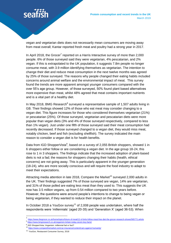vegan and vegetarian diets does not necessarily mean consumers are moving away from meat overall; Kantar reported fresh meat and poultry had a strong year in 2017.

In April 2018, the Grocer<sup>7</sup> reported on a Harris Interactive survey of more than 2,000 people. 6% of those surveyed said they were vegetarian, 4% pescatarian, and 2% vegan. If this is extrapolated to the UK population, it suggests 7.8m people no longer consume meat, with 3.9 million identifying themselves as vegetarian. The intention to change their diet and reduce meat consumption in the next twelve months was agreed by 25% of those surveyed. The reasons why people changed their eating habits included concerns around animal welfare and the environmental impact of meat. This survey found the trends are more apparent amongst younger consumers compared with the over 55's age group. However, of those surveyed, 50% found plant based alternatives more expensive than meat, whilst 48% agreed that meat contains important nutrients and is a vital part of a healthy diet.

In May 2018, BMG Research<sup>8</sup> surveyed a representative sample of 1,507 adults living in GB. Their findings showed 12% of those who eat meat may consider changing to a vegan diet. This figure increases for those who considered themselves vegetarian (21%) or pescatarian (25%). Of those surveyed, vegetarian and pescatarian diets were more popular than vegan diets (3% and 4% of those surveyed respectively, compared to less than 1% vegan). Just under one fifth of those surveyed said their meat consumption had recently decreased. If those surveyed changed to a vegan diet, they would miss meat, notably chicken, beef and fish (excluding shellfish). The survey indicated the main reason to consider a vegan diet is for health benefits.

Data from IGD ShopperVista<sup>9</sup>, based on a survey of 2,055 British shoppers, showed 1 in 6 shoppers either follow or are considering a vegan diet. In the age group 18-24, this rose to 1 in 3 shoppers. The findings indicate that the increased adoption of plant-based diets is not a fad; the reasons for shoppers changing their habits (health, ethical concerns) are not going away. This is particularly apparent in the younger generation (18-24), who are more socially conscious and will require the food industry to adapt to meet their expectations.

Attracting media attention in late 2018, Compare the Market<sup>10</sup> surveyed 2,000 adults in the UK. Their findings suggested 7% of those surveyed are vegan, 14% are vegetarian, and 31% of those polled are eating less meat than they used to. This suggests the UK now has 3.5 million vegans, up from 0.54 million compared to two years before. However, the questions were around people's intentions to change to being vegan or being vegetarian, if they wanted to reduce their impact on the planet.

In October 2018 a YouGov survey<sup>11</sup> of 2,008 people was undertaken, where half the respondents were 'millennials' (aged 20-35) and 'Generation X' (aged 36-53). When

 $\overline{a}$ 

<sup>7</sup> <https://www.thegrocer.co.uk/home/topics/future-of-meat/12-of-brits-follow-meat-free-diet-the-grocer-research-shows/565771.article>

<sup>&</sup>lt;sup>8</sup> <https://www.bmgresearch.co.uk/veganism-britain-today-seven-key-facts/>

<sup>&</sup>lt;sup>9</sup> IGD ShopperVista; Veganism: millennial fad or fact?

<sup>10</sup> <https://www.comparethemarket.com/car-insurance/content/cars-against-humanity/>

<sup>11</sup> YouGov, Restaurant Consumer Survey, 2018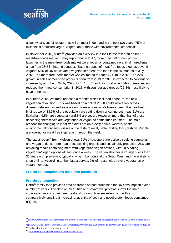asked what types of restaurants will be most in demand in the next two years, 75% of millennials predicted vegan, vegetarian or those with environmental credentials.

In November 2018, Mintel<sup>12</sup> provided an overview into their latest research on the UK meat-free foods market. They report that in 2017, more than half of new product launches in the meat-free foods market were vegan or contained no animal ingredients, a rise from 28% in 2014. It suggests that the appeal of meat-free foods extends beyond vegans; 56% of UK adults ate a vegetarian / meat-free food in the six months to July 2018. The meat-free foods market was estimated to reach £740m in 2018. The 22% growth in sales of meat-free products seen from 2013 to 2018 is expected to continue to increase by a further 44% by 2023, to £1.1bn. Their findings showed 34% of meat eaters reduced their meat consumption in 2018, with younger age groups (25-34) most likely to have done so.

In autumn 2018, Waitrose released a report $13$  which included a feature 'the new vegetarian revolution'. This was based on a poll of 2,000 adults who shop across different retailers, as well as analysing transactions in Waitrose stores. The headline findings were; 33.5% of the population are cutting down or cutting out meat; 21% are flexitarian; 9.5% are vegetarian and 3% are vegan. However, more than half of those describing themselves are vegetarian or vegan do sometimes eat meat. The main reasons for changing to meat free diets are (in order); animal welfare, health, environmental concerns, dislike of the taste of meat, better tasting food, fashion. People are looking for meat free inspiration through the week.

The latest report<sup>14</sup> from Nielsen shows 21% of shoppers are actively seeking vegetarian and vegan options, more than those seeking organic and sustainably produced. 25% are replacing meals containing meat with vegetarian/vegan options, with 10% eating vegetarian/vegan options at least once a week. The vegan shopper is younger (less than 35 years old), pre-family, typically living in London and the South West and more likely to shop online. According to their latest survey, 9% of households have a vegetarian or vegan member.

### **Protein consumption and consumer purchases**

### **Protein consumption**

 $\overline{a}$ 

Defra<sup>15</sup> family food provides data on trends of food purchased for UK consumption over a number of years. The data on meat, fish and soya/novel proteins shows the main sources of dietary protein are meat and to a much lesser extent fish, with a comparatively small, but increasing, quantity of soya and novel protein foods consumed (Fig. 2).

<http://www.mintel.com/press-centre/food-and-drink/more-than-half-of-all-meat-free-new-product-launches-in-the-uk-carry-a-vegan-claim-1> 13

<https://www.waitrose.com/content/dam/waitrose/Inspiration/Waitrose%20&%20Partners%20Food%20and%20Drink%20Report%202018.pdf> <sup>14</sup> Nielsen, Unpicking vegetarian and vegan

<sup>15</sup> <https://www.gov.uk/government/statistics/family-food-201617>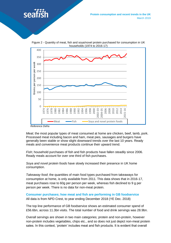

Figure 2 - Quantity of meat, fish and soya/novel protein purchased for consumption in UK households (1974 to 2016-17)



*Meat*; the most popular types of meat consumed at home are chicken, beef, lamb, pork. Processed meat including bacon and ham, meat pies, sausages and burgers have generally been stable or show slight downward trends over the last 10 years. Ready meals and convenience meat products continue their upward trend.

*Fish*; household purchases of fish and fish products have fallen steadily since 2006. Ready meals account for over one third of fish purchases.

*Soya and novel protein foods* have slowly increased their presence in UK home consumption.

*Takeaway food*; the quantities of main food types purchased from takeaways for consumption at home, is only available from 2011. This data shows that in 2016-17, meat purchases rose to 60g per person per week, whereas fish declined to 9 g per person per week. There is no data for non-meat protein.

**Consumer purchases; how meat and fish are performing in GB foodservice** All data is from NPD Crest, to year ending December 2018 (YE Dec. 2018)

The top line performance of GB foodservice shows an estimated consumer spend of £56.6bn, across 11.3bn visits. The total number of food and drink servings was 28.9bn.

Overall servings are shown in two main categories; protein and non-protein, however non-protein includes vegetables, chips etc., and so does not just depict non-meat protein sales. In this context, 'protein' includes meat and fish products. It is evident that overall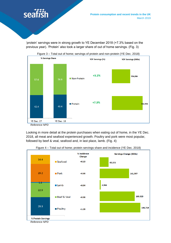

'protein' servings were in strong growth to YE December 2018 (+7.3% based on the previous year). 'Protein' also took a larger share of out of home servings. (Fig. 3)



Looking in more detail at the protein purchases when eating out of home, in the YE Dec. 2018, all meat and seafood experienced growth. Poultry and pork were most popular, followed by beef & veal, seafood and, in last place, lamb. (Fig. 4)



Figure 4 – Total out of home; protein servings share and incidence (YE Dec. 2018)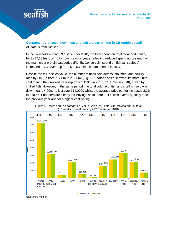

**Consumer purchases; how meat and fish are performing in GB multiple retail** All data is from Nielsen.

In the 52 weeks ending  $29<sup>th</sup>$  December 2018, the total spend on total meat and poultry fell to £7,182m (down 1% from previous year), reflecting reduced spend across each of the main meat protein categories (Fig. 5). Conversely, spend on fish (all seafood) increased to £3,283m (up from £3,253m in the same period in 2017).

Despite the fall in sales value, the number of units sold across total meat and poultry rose by 6m (up from 2,320m to 2,326m) (Fig. 6). Seafood sales showed 3m more units sold than in the previous year (up from 1,159m in 2017 to 1,162m in 2018), driven by chilled fish. However, in the same period, the total volume of fish and shellfish sold was down nearly 4,000t, to just over 314,000t, whilst the average price per kg increased 2.2% to £10.45. Shoppers are clearly still buying fish in-store, but in less overall quantity than the previous year and for a higher cost per kg.





*Reference Nielsen*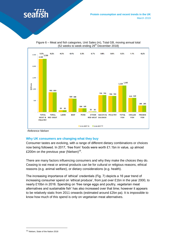



Figure 6 – Meat and fish categories, Unit Sales (m), Total GB, moving annual total (52 weeks to week ending 29<sup>th</sup> December 2018)

 *Reference Nielsen*

#### **Why UK consumers are changing what they buy**

Consumer tastes are evolving, with a range of different dietary combinations or choices now being followed. In 2017, 'free from' foods were worth £1.1bn in value, up almost £200m on the previous year (Nielsen)<sup>16</sup>.

There are many factors influencing consumers and why they make the choices they do. Ceasing to eat meat or animal products can be for cultural or religious reasons, ethical reasons (e.g. animal welfare), or dietary considerations (e.g. health).

The increasing importance of 'ethical' credentials (Fig. 7) depicts a 16 year trend of increasing consumer spend on 'ethical produce', from just over £1bn in the year 2000, to nearly £10bn in 2016. Spending on 'free range eggs and poultry, vegetarian meat alternatives and sustainable fish' has also increased over that time; however it appears to be relatively static from 2011 onwards (estimated around £2bn pa). It is impossible to know how much of this spend is only on vegetarian meat alternatives.

16 Nielsen, State of the Nation 2018

 $\overline{a}$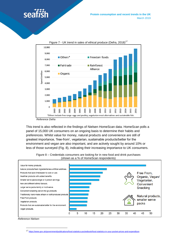



Figure 7 - UK trend in sales of ethical produce (Defra, 2018)<sup>17</sup>

This trend is also reflected in the findings of Nielsen HomeScan data. HomeScan polls a panel of 15,000 UK consumers on an ongoing basis to determine their habits and preferences. Whilst value for money, natural products and convenience are still of greatest importance, 'free-from', vegetarian, sustainable products/better for the environment and vegan are also important, and are actively sought by around 10% or less of those surveyed (Fig. 8), indicating their increasing importance to UK consumers.



Figure 8 – Credentials consumers are looking for in new food and drink purchases (shown as a % of HomeScan respondents)

 $\overline{a}$ 

*Reference Nielsen*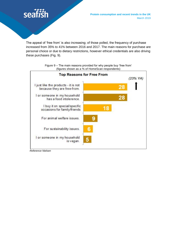

The appeal of 'free from' is also increasing; of those polled, the frequency of purchase increased from 35% to 41% between 2016 and 2017. The main reasons for purchase are personal choice or due to dietary restrictions, however ethical credentials are also driving these purchases (Fig. 9).



Figure 9 – The main reasons provided for why people buy 'free from' (figures shown as a % of HomeScan respondents)

 *Reference Nielsen*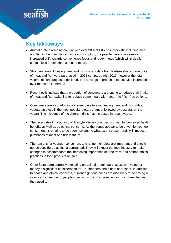# **Key takeaways**

- Animal protein remains popular with over 90% of UK consumers still including meat and fish in their diet. For at home consumption, the past ten years has seen an increased shift towards convenience foods and ready meals (which will typically contain less protein than a joint of meat).
- Shoppers are still buying meat and fish; current data from Nielsen shows more units of meat and fish were purchased in 2018 compared with 2017, however the total volume of fish purchased declined. The servings of protein in foodservice increased over the same timeframe.
- Recent polls indicate that a proportion of consumers are opting to reduce their intake of meat and fish, switching to replace some meals with meat-free / fish-free options.
- Consumers are also adopting different diets to avoid eating meat and fish, with a vegetarian diet still the most popular dietary change, followed by pescatarian then vegan. The incidence of the different diets has increased in recent years.
- The recent rise in popularity of 'lifestyle' dietary changes is driven by perceived health benefits as well as by ethical concerns. As the trends appear to be driven by younger consumers, it remains to be seen how and to what extent these trends will impact on purchases of meat and fish in future.
- The reasons for younger consumers to change their diets are important and should not be considered as just a current fad. They will expect the food industry to make changes to accommodate the increasing importance of 'free from' and embed ethical practices in food products on sale.
- Other factors are currently impacting on animal protein purchases, with value for money a significant consideration for UK shoppers and diners at present. In addition to health and ethical concerns, current high food prices are also likely to be having a significant influence on people's decisions to continue eating as much meat/fish as they used to.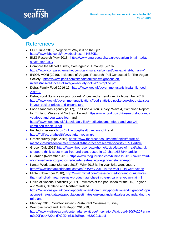## **References**

- BBC (June 2018), Veganism: Why is it on the up? <https://www.bbc.co.uk/news/business-44488051>
- BMG Research (May 2018), [https://www.bmgresearch.co.uk/veganism-britain-today](https://www.bmgresearch.co.uk/veganism-britain-today-seven-key-facts/)[seven-key-facts/](https://www.bmgresearch.co.uk/veganism-britain-today-seven-key-facts/)
- Compare the Market survey, Cars against Humanity, (2018), <https://www.comparethemarket.com/car-insurance/content/cars-against-humanity/>
- IPSOS MORI (2016), Incidence of Vegans Research, Poll Conducted for The Vegan Society - [https://www.ipsos.com/sites/default/files/migrations/en](https://www.ipsos.com/sites/default/files/migrations/en-uk/files/Assets/Docs/Polls/vegan-society-poll-2016-topline.pdf)[uk/files/Assets/Docs/Polls/vegan-society-poll-2016-topline.pdf](https://www.ipsos.com/sites/default/files/migrations/en-uk/files/Assets/Docs/Polls/vegan-society-poll-2016-topline.pdf)
- Defra, Family Food 2016-17, [https://www.gov.uk/government/statistics/family-food-](https://www.gov.uk/government/statistics/family-food-201617)[201617](https://www.gov.uk/government/statistics/family-food-201617)
- Defra, Food Statistics in your pocket: Prices and expenditure: 22 November 2018, [https://www.gov.uk/government/publications/food-statistics-pocketbook/food-statistics](https://www.gov.uk/government/publications/food-statistics-pocketbook/food-statistics-in-your-pocket-prices-and-expenditure)[in-your-pocket-prices-and-expenditure](https://www.gov.uk/government/publications/food-statistics-pocketbook/food-statistics-in-your-pocket-prices-and-expenditure)
- Food Standards Agency (2017), The Food & You Survey, Wave 4, Combined Report for England, Wales and Northern Ireland: [https://www.food.gov.uk/research/food-and](https://www.food.gov.uk/research/food-and-you/food-and-you-wave-four)[you/food-and-you-wave-four](https://www.food.gov.uk/research/food-and-you/food-and-you-wave-four) and [https://www.food.gov.uk/sites/default/files/media/document/food-and-you-w4](https://www.food.gov.uk/sites/default/files/media/document/food-and-you-w4-combined-report_0.pdf) [combined-report\\_0.pdf](https://www.food.gov.uk/sites/default/files/media/document/food-and-you-w4-combined-report_0.pdf)
- Full fact checker <https://fullfact.org/health/vegans-uk/> and <https://fullfact.org/health/vegetarian-vegan-uk/>
- Grocer survey (April 2018), [https://www.thegrocer.co.uk/home/topics/future-of](https://www.thegrocer.co.uk/home/topics/future-of-meat/12-of-brits-follow-meat-free-diet-the-grocer-research-shows/565771.article)[meat/12-of-brits-follow-meat-free-diet-the-grocer-research-shows/565771.article](https://www.thegrocer.co.uk/home/topics/future-of-meat/12-of-brits-follow-meat-free-diet-the-grocer-research-shows/565771.article)
- Grocer (July 2018) [https://www.thegrocer.co.uk/home/topics/future-of-meat/what-uk](https://www.thegrocer.co.uk/home/topics/future-of-meat/what-uk-shoppers-think-about-meat-free-and-plant-based-in-12-charts/568844.article)[shoppers-think-about-meat-free-and-plant-based-in-12-charts/568844.article](https://www.thegrocer.co.uk/home/topics/future-of-meat/what-uk-shoppers-think-about-meat-free-and-plant-based-in-12-charts/568844.article)
- Guardian (November 2018) [https://www.theguardian.com/business/2018/nov/01/third](https://www.theguardian.com/business/2018/nov/01/third-of-britons-have-stopped-or-reduced-meat-eating-vegan-vegetarian-report)[of-britons-have-stopped-or-reduced-meat-eating-vegan-vegetarian-report](https://www.theguardian.com/business/2018/nov/01/third-of-britons-have-stopped-or-reduced-meat-eating-vegan-vegetarian-report)
- Kantar Worldpanel (January 2018), Why 2018 is the year Brits went vegan, <https://www.kantarworldpanel.com/en/PR/Why-2018-is-the-year-Brits-went-vegan>
- Mintel (November 2018), [http://www.mintel.com/press-centre/food-and-drink/more](http://www.mintel.com/press-centre/food-and-drink/more-than-half-of-all-meat-free-new-product-launches-in-the-uk-carry-a-vegan-claim-1)[than-half-of-all-meat-free-new-product-launches-in-the-uk-carry-a-vegan-claim-1](http://www.mintel.com/press-centre/food-and-drink/more-than-half-of-all-meat-free-new-product-launches-in-the-uk-carry-a-vegan-claim-1)
- Office of National Statistics (2017), Estimates of the population for the UK, England and Wales, Scotland and Northern Ireland [https://www.ons.gov.uk/peoplepopulationandcommunity/populationandmigration/popul](https://www.ons.gov.uk/peoplepopulationandcommunity/populationandmigration/populationestimates/datasets/populationestimatesforukenglandandwalesscotlandandnorthernireland) [ationestimates/datasets/populationestimatesforukenglandandwalesscotlandandnorthe](https://www.ons.gov.uk/peoplepopulationandcommunity/populationandmigration/populationestimates/datasets/populationestimatesforukenglandandwalesscotlandandnorthernireland) [rnireland](https://www.ons.gov.uk/peoplepopulationandcommunity/populationandmigration/populationestimates/datasets/populationestimatesforukenglandandwalesscotlandandnorthernireland)
- Planday, 2018, YouGov survey Restaurant Consumer Survey
- Waitrose, Food and Drink Report 2018-19, [https://www.waitrose.com/content/dam/waitrose/Inspiration/Waitrose%20&%20Partne](https://www.waitrose.com/content/dam/waitrose/Inspiration/Waitrose%20&%20Partners%20Food%20and%20Drink%20Report%202018.pdf) [rs%20Food%20and%20Drink%20Report%202018.pdf](https://www.waitrose.com/content/dam/waitrose/Inspiration/Waitrose%20&%20Partners%20Food%20and%20Drink%20Report%202018.pdf)